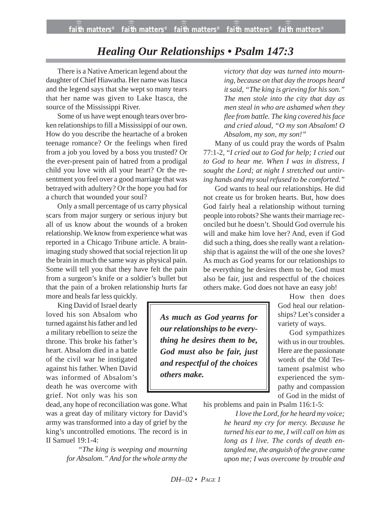## *Healing Our Relationships • Psalm 147:3*

There is a Native American legend about the daughter of Chief Hiawatha. Her name was Itasca and the legend says that she wept so many tears that her name was given to Lake Itasca, the source of the Mississippi River.

Some of us have wept enough tears over broken relationships to fill a Mississippi of our own. How do you describe the heartache of a broken teenage romance? Or the feelings when fired from a job you loved by a boss you trusted? Or the ever-present pain of hatred from a prodigal child you love with all your heart? Or the resentment you feel over a good marriage that was betrayed with adultery? Or the hope you had for a church that wounded your soul?

Only a small percentage of us carry physical scars from major surgery or serious injury but all of us know about the wounds of a broken relationship. We know from experience what was reported in a Chicago Tribune article. A brainimaging study showed that social rejection lit up the brain in much the same way as physical pain. Some will tell you that they have felt the pain from a surgeon's knife or a soldier's bullet but that the pain of a broken relationship hurts far

more and heals far less quickly.

King David of Israel dearly loved his son Absalom who turned against his father and led a military rebellion to seize the throne. This broke his father's heart. Absalom died in a battle of the civil war he instigated against his father. When David was informed of Absalom's death he was overcome with grief. Not only was his son

dead, any hope of reconciliation was gone. What was a great day of military victory for David's army was transformed into a day of grief by the king's uncontrolled emotions. The record is in II Samuel 19:1-4:

> *"The king is weeping and mourning for Absalom." And for the whole army the*

*victory that day was turned into mourning, because on that day the troops heard it said, "The king is grieving for his son." The men stole into the city that day as men steal in who are ashamed when they flee from battle. The king covered his face and cried aloud, "O my son Absalom! O Absalom, my son, my son!"*

Many of us could pray the words of Psalm 77:1-2, "*I cried out to God for help; I cried out to God to hear me. When I was in distress, I sought the Lord; at night I stretched out untiring hands and my soul refused to be comforted."*

God wants to heal our relationships. He did not create us for broken hearts. But, how does God fairly heal a relationship without turning people into robots? She wants their marriage reconciled but he doesn't. Should God overrule his will and make him love her? And, even if God did such a thing, does she really want a relationship that is against the will of the one she loves? As much as God yearns for our relationships to be everything he desires them to be, God must also be fair, just and respectful of the choices others make. God does not have an easy job!

*As much as God yearns for our relationships to be everything he desires them to be, God must also be fair, just and respectful of the choices others make.*

How then does God heal our relationships? Let's consider a variety of ways.

God sympathizes with us in our troubles. Here are the passionate words of the Old Testament psalmist who experienced the sympathy and compassion of God in the midst of

his problems and pain in Psalm 116:1-5:

*I love the Lord, for he heard my voice; he heard my cry for mercy. Because he turned his ear to me, I will call on him as long as I live. The cords of death entangled me, the anguish of the grave came upon me; I was overcome by trouble and*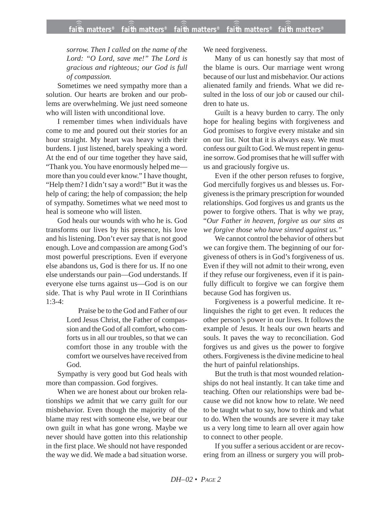*sorrow. Then I called on the name of the Lord: "O Lord, save me!" The Lord is gracious and righteous; our God is full of compassion.*

Sometimes we need sympathy more than a solution. Our hearts are broken and our problems are overwhelming. We just need someone who will listen with unconditional love.

I remember times when individuals have come to me and poured out their stories for an hour straight. My heart was heavy with their burdens. I just listened, barely speaking a word. At the end of our time together they have said, "Thank you. You have enormously helped me more than you could ever know." I have thought, "Help them? I didn't say a word!" But it was the help of caring; the help of compassion; the help of sympathy. Sometimes what we need most to heal is someone who will listen.

God heals our wounds with who he is. God transforms our lives by his presence, his love and his listening. Don't ever say that is not good enough. Love and compassion are among God's most powerful prescriptions. Even if everyone else abandons us, God is there for us. If no one else understands our pain—God understands. If everyone else turns against us—God is on our side. That is why Paul wrote in II Corinthians 1:3-4:

> Praise be to the God and Father of our Lord Jesus Christ, the Father of compassion and the God of all comfort, who comforts us in all our troubles, so that we can comfort those in any trouble with the comfort we ourselves have received from God.

Sympathy is very good but God heals with more than compassion. God forgives.

When we are honest about our broken relationships we admit that we carry guilt for our misbehavior. Even though the majority of the blame may rest with someone else, we bear our own guilt in what has gone wrong. Maybe we never should have gotten into this relationship in the first place. We should not have responded the way we did. We made a bad situation worse. We need forgiveness.

Many of us can honestly say that most of the blame is ours. Our marriage went wrong because of our lust and misbehavior. Our actions alienated family and friends. What we did resulted in the loss of our job or caused our children to hate us.

Guilt is a heavy burden to carry. The only hope for healing begins with forgiveness and God promises to forgive every mistake and sin on our list. Not that it is always easy. We must confess our guilt to God. We must repent in genuine sorrow. God promises that he will suffer with us and graciously forgive us.

Even if the other person refuses to forgive, God mercifully forgives us and blesses us. Forgiveness is the primary prescription for wounded relationships. God forgives us and grants us the power to forgive others. That is why we pray, "*Our Father in heaven, forgive us our sins as we forgive those who have sinned against us."*

We cannot control the behavior of others but we can forgive them. The beginning of our forgiveness of others is in God's forgiveness of us. Even if they will not admit to their wrong, even if they refuse our forgiveness, even if it is painfully difficult to forgive we can forgive them because God has forgiven us.

Forgiveness is a powerful medicine. It relinquishes the right to get even. It reduces the other person's power in our lives. It follows the example of Jesus. It heals our own hearts and souls. It paves the way to reconciliation. God forgives us and gives us the power to forgive others. Forgiveness is the divine medicine to heal the hurt of painful relationships.

But the truth is that most wounded relationships do not heal instantly. It can take time and teaching. Often our relationships were bad because we did not know how to relate. We need to be taught what to say, how to think and what to do. When the wounds are severe it may take us a very long time to learn all over again how to connect to other people.

If you suffer a serious accident or are recovering from an illness or surgery you will prob-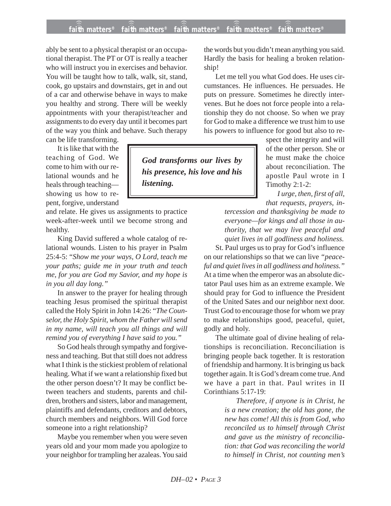## **faith matters® faith matters® faith matters® faith matters® faith matters®** ))) ))) ))) ))) )))

ably be sent to a physical therapist or an occupational therapist. The PT or OT is really a teacher who will instruct you in exercises and behavior. You will be taught how to talk, walk, sit, stand, cook, go upstairs and downstairs, get in and out of a car and otherwise behave in ways to make you healthy and strong. There will be weekly appointments with your therapist/teacher and assignments to do every day until it becomes part of the way you think and behave. Such therapy

can be life transforming.

It is like that with the teaching of God. We come to him with our relational wounds and he heals through teaching showing us how to repent, forgive, understand

and relate. He gives us assignments to practice week-after-week until we become strong and healthy.

King David suffered a whole catalog of relational wounds. Listen to his prayer in Psalm 25:4-5: "*Show me your ways, O Lord, teach me your paths; guide me in your truth and teach me, for you are God my Savior, and my hope is in you all day long."*

In answer to the prayer for healing through teaching Jesus promised the spiritual therapist called the Holy Spirit in John 14:26: "*The Counselor, the Holy Spirit, whom the Father will send in my name, will teach you all things and will remind you of everything I have said to you."*

So God heals through sympathy and forgiveness and teaching. But that still does not address what I think is the stickiest problem of relational healing. What if we want a relationship fixed but the other person doesn't? It may be conflict between teachers and students, parents and children, brothers and sisters, labor and management, plaintiffs and defendants, creditors and debtors, church members and neighbors. Will God force someone into a right relationship?

Maybe you remember when you were seven years old and your mom made you apologize to your neighbor for trampling her azaleas. You said the words but you didn't mean anything you said. Hardly the basis for healing a broken relationship!

Let me tell you what God does. He uses circumstances. He influences. He persuades. He puts on pressure. Sometimes he directly intervenes. But he does not force people into a relationship they do not choose. So when we pray for God to make a difference we trust him to use his powers to influence for good but also to re-

*God transforms our lives by his presence, his love and his listening.*

spect the integrity and will of the other person. She or he must make the choice about reconciliation. The apostle Paul wrote in I Timothy 2:1-2:

*I urge, then, first of all, that requests, prayers, in-*

*tercession and thanksgiving be made to everyone—for kings and all those in authority, that we may live peaceful and quiet lives in all godliness and holiness.*

St. Paul urges us to pray for God's influence on our relationships so that we can live *"peaceful and quiet lives in all godliness and holiness."* At a time when the emperor was an absolute dictator Paul uses him as an extreme example. We should pray for God to influence the President of the United Sates and our neighbor next door. Trust God to encourage those for whom we pray to make relationships good, peaceful, quiet, godly and holy.

The ultimate goal of divine healing of relationships is reconciliation. Reconciliation is bringing people back together. It is restoration of friendship and harmony. It is bringing us back together again. It is God's dream come true. And we have a part in that. Paul writes in II Corinthians 5:17-19:

> *Therefore, if anyone is in Christ, he is a new creation; the old has gone, the new has come! All this is from God, who reconciled us to himself through Christ and gave us the ministry of reconciliation: that God was reconciling the world to himself in Christ, not counting men's*